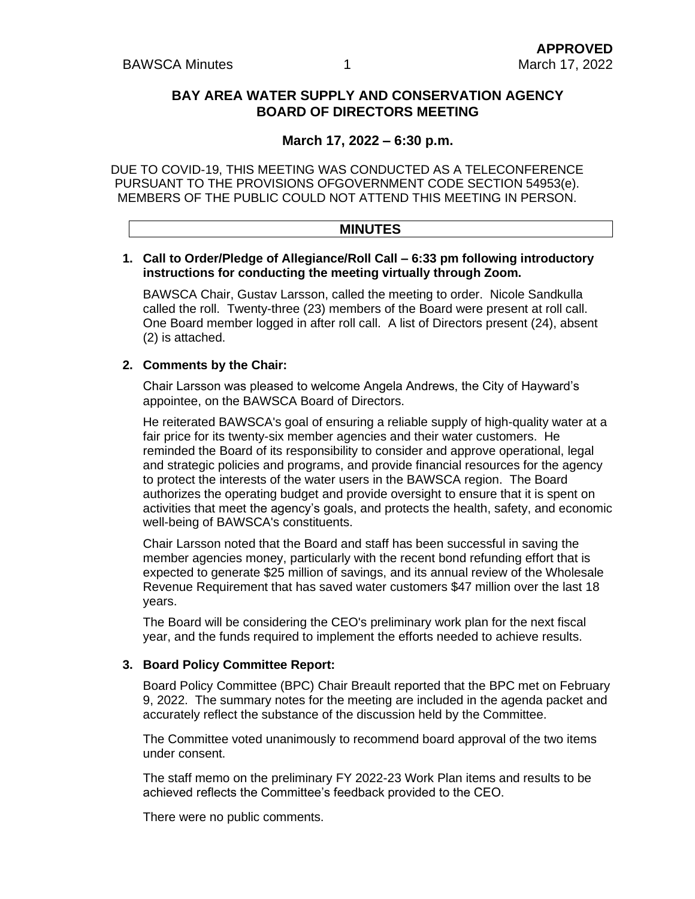#### **BAY AREA WATER SUPPLY AND CONSERVATION AGENCY BOARD OF DIRECTORS MEETING**

#### **March 17, 2022 – 6:30 p.m.**

DUE TO COVID-19, THIS MEETING WAS CONDUCTED AS A TELECONFERENCE PURSUANT TO THE PROVISIONS OFGOVERNMENT CODE SECTION 54953(e). MEMBERS OF THE PUBLIC COULD NOT ATTEND THIS MEETING IN PERSON.

# **MINUTES**

#### **1. Call to Order/Pledge of Allegiance/Roll Call – 6:33 pm following introductory instructions for conducting the meeting virtually through Zoom.**

BAWSCA Chair, Gustav Larsson, called the meeting to order. Nicole Sandkulla called the roll. Twenty-three (23) members of the Board were present at roll call. One Board member logged in after roll call. A list of Directors present (24), absent (2) is attached.

#### **2. Comments by the Chair:**

Chair Larsson was pleased to welcome Angela Andrews, the City of Hayward's appointee, on the BAWSCA Board of Directors.

He reiterated BAWSCA's goal of ensuring a reliable supply of high-quality water at a fair price for its twenty-six member agencies and their water customers. He reminded the Board of its responsibility to consider and approve operational, legal and strategic policies and programs, and provide financial resources for the agency to protect the interests of the water users in the BAWSCA region. The Board authorizes the operating budget and provide oversight to ensure that it is spent on activities that meet the agency's goals, and protects the health, safety, and economic well-being of BAWSCA's constituents.

Chair Larsson noted that the Board and staff has been successful in saving the member agencies money, particularly with the recent bond refunding effort that is expected to generate \$25 million of savings, and its annual review of the Wholesale Revenue Requirement that has saved water customers \$47 million over the last 18 years.

The Board will be considering the CEO's preliminary work plan for the next fiscal year, and the funds required to implement the efforts needed to achieve results.

#### **3. Board Policy Committee Report:**

Board Policy Committee (BPC) Chair Breault reported that the BPC met on February 9, 2022. The summary notes for the meeting are included in the agenda packet and accurately reflect the substance of the discussion held by the Committee.

The Committee voted unanimously to recommend board approval of the two items under consent.

The staff memo on the preliminary FY 2022-23 Work Plan items and results to be achieved reflects the Committee's feedback provided to the CEO.

There were no public comments.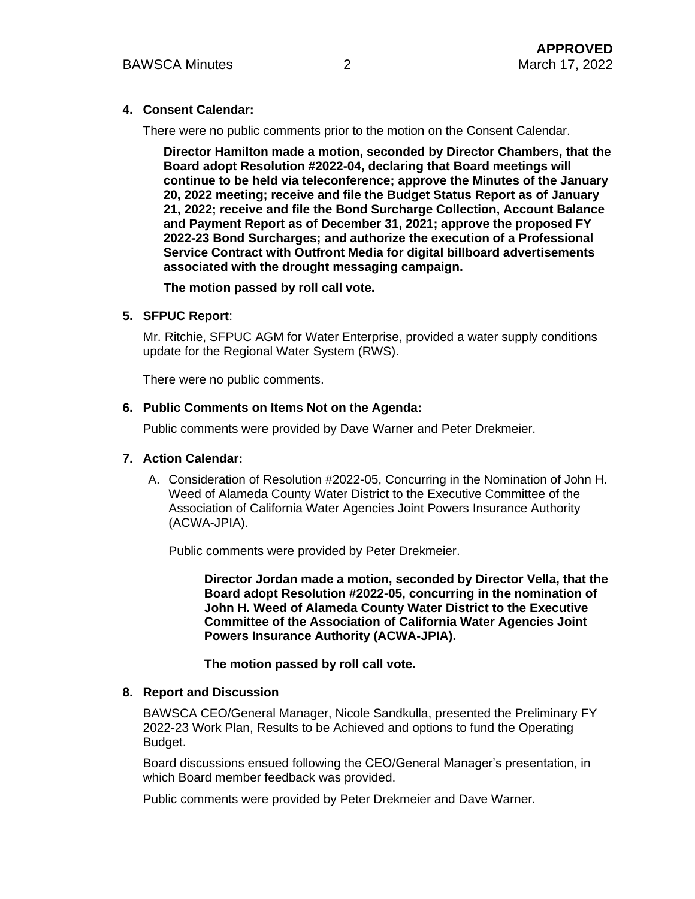#### **4. Consent Calendar:**

There were no public comments prior to the motion on the Consent Calendar.

**Director Hamilton made a motion, seconded by Director Chambers, that the Board adopt Resolution #2022-04, declaring that Board meetings will continue to be held via teleconference; approve the Minutes of the January 20, 2022 meeting; receive and file the Budget Status Report as of January 21, 2022; receive and file the Bond Surcharge Collection, Account Balance and Payment Report as of December 31, 2021; approve the proposed FY 2022-23 Bond Surcharges; and authorize the execution of a Professional Service Contract with Outfront Media for digital billboard advertisements associated with the drought messaging campaign.**

**The motion passed by roll call vote.** 

#### **5. SFPUC Report**:

Mr. Ritchie, SFPUC AGM for Water Enterprise, provided a water supply conditions update for the Regional Water System (RWS).

There were no public comments.

#### **6. Public Comments on Items Not on the Agenda:**

Public comments were provided by Dave Warner and Peter Drekmeier.

#### **7. Action Calendar:**

A. Consideration of Resolution #2022-05, Concurring in the Nomination of John H. Weed of Alameda County Water District to the Executive Committee of the Association of California Water Agencies Joint Powers Insurance Authority (ACWA-JPIA).

Public comments were provided by Peter Drekmeier.

**Director Jordan made a motion, seconded by Director Vella, that the Board adopt Resolution #2022-05, concurring in the nomination of John H. Weed of Alameda County Water District to the Executive Committee of the Association of California Water Agencies Joint Powers Insurance Authority (ACWA-JPIA).**

**The motion passed by roll call vote.**

#### **8. Report and Discussion**

BAWSCA CEO/General Manager, Nicole Sandkulla, presented the Preliminary FY 2022-23 Work Plan, Results to be Achieved and options to fund the Operating Budget.

Board discussions ensued following the CEO/General Manager's presentation, in which Board member feedback was provided.

Public comments were provided by Peter Drekmeier and Dave Warner.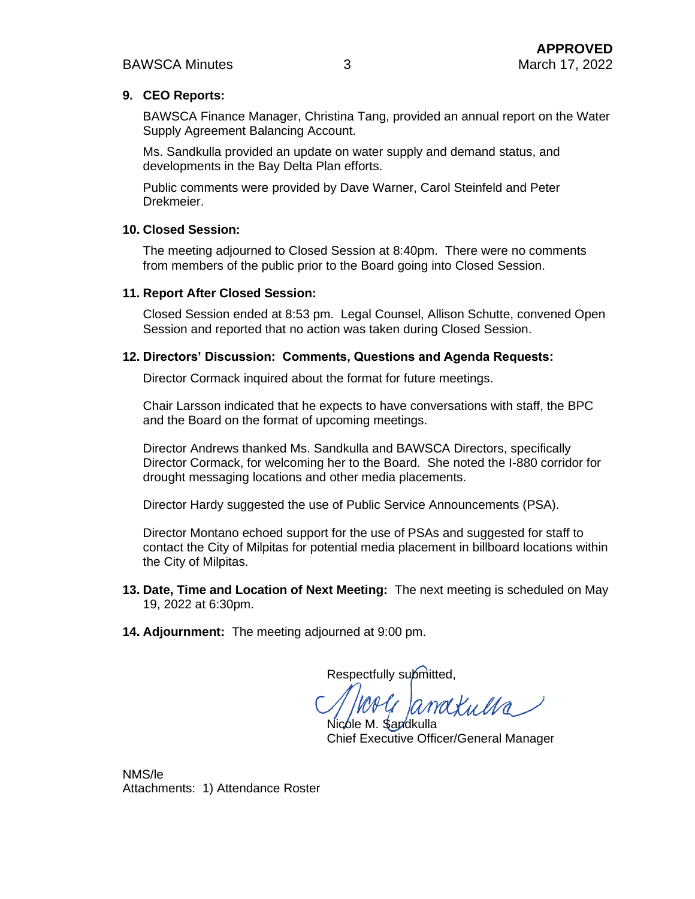#### **9. CEO Reports:**

BAWSCA Finance Manager, Christina Tang, provided an annual report on the Water Supply Agreement Balancing Account.

Ms. Sandkulla provided an update on water supply and demand status, and developments in the Bay Delta Plan efforts.

Public comments were provided by Dave Warner, Carol Steinfeld and Peter Drekmeier.

#### **10. Closed Session:**

The meeting adjourned to Closed Session at 8:40pm. There were no comments from members of the public prior to the Board going into Closed Session.

#### **11. Report After Closed Session:**

Closed Session ended at 8:53 pm. Legal Counsel, Allison Schutte, convened Open Session and reported that no action was taken during Closed Session.

#### **12. Directors' Discussion: Comments, Questions and Agenda Requests:**

Director Cormack inquired about the format for future meetings.

Chair Larsson indicated that he expects to have conversations with staff, the BPC and the Board on the format of upcoming meetings.

Director Andrews thanked Ms. Sandkulla and BAWSCA Directors, specifically Director Cormack, for welcoming her to the Board. She noted the I-880 corridor for drought messaging locations and other media placements.

Director Hardy suggested the use of Public Service Announcements (PSA).

Director Montano echoed support for the use of PSAs and suggested for staff to contact the City of Milpitas for potential media placement in billboard locations within the City of Milpitas.

- **13. Date, Time and Location of Next Meeting:** The next meeting is scheduled on May 19, 2022 at 6:30pm.
- **14. Adjournment:** The meeting adjourned at 9:00 pm.

Respectfully submitted,

anatulla ble M. **S**andkulla

Chief Executive Officer/General Manager

NMS/le Attachments: 1) Attendance Roster